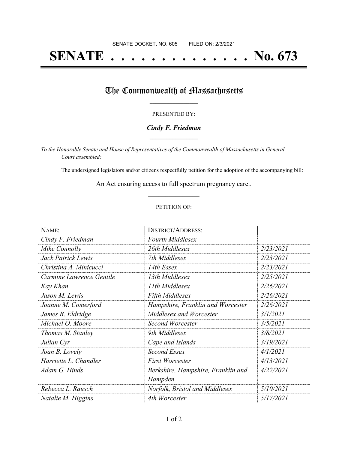# **SENATE . . . . . . . . . . . . . . No. 673**

# The Commonwealth of Massachusetts

#### PRESENTED BY:

#### *Cindy F. Friedman* **\_\_\_\_\_\_\_\_\_\_\_\_\_\_\_\_\_**

*To the Honorable Senate and House of Representatives of the Commonwealth of Massachusetts in General Court assembled:*

The undersigned legislators and/or citizens respectfully petition for the adoption of the accompanying bill:

An Act ensuring access to full spectrum pregnancy care.. **\_\_\_\_\_\_\_\_\_\_\_\_\_\_\_**

#### PETITION OF:

| NAME:                    | <b>DISTRICT/ADDRESS:</b>                      |           |
|--------------------------|-----------------------------------------------|-----------|
| Cindy F. Friedman        | <b>Fourth Middlesex</b>                       |           |
| Mike Connolly            | 26th Middlesex                                | 2/23/2021 |
| Jack Patrick Lewis       | 7th Middlesex                                 | 2/23/2021 |
| Christina A. Minicucci   | 14th Essex                                    | 2/23/2021 |
| Carmine Lawrence Gentile | 13th Middlesex                                | 2/25/2021 |
| Kay Khan                 | 11th Middlesex                                | 2/26/2021 |
| Jason M. Lewis           | <b>Fifth Middlesex</b>                        | 2/26/2021 |
| Joanne M. Comerford      | Hampshire, Franklin and Worcester             | 2/26/2021 |
| James B. Eldridge        | Middlesex and Worcester                       | 3/1/2021  |
| Michael O. Moore         | <b>Second Worcester</b>                       | 3/5/2021  |
| Thomas M. Stanley        | 9th Middlesex                                 | 3/8/2021  |
| Julian Cyr               | Cape and Islands                              | 3/19/2021 |
| Joan B. Lovely           | Second Essex                                  | 4/1/2021  |
| Harriette L. Chandler    | <b>First Worcester</b>                        | 4/13/2021 |
| Adam G. Hinds            | Berkshire, Hampshire, Franklin and<br>Hampden | 4/22/2021 |
| Rebecca L. Rausch        | Norfolk, Bristol and Middlesex                | 5/10/2021 |
| Natalie M. Higgins       | 4th Worcester                                 | 5/17/2021 |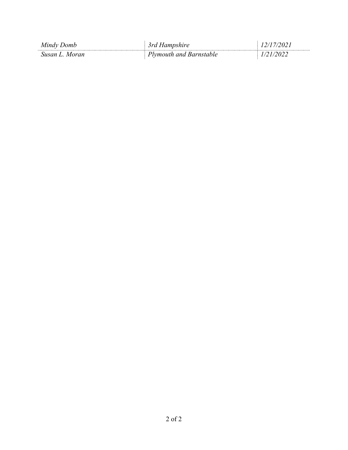| Mindy Domb       | srd<br>Aampshire        |  |
|------------------|-------------------------|--|
| Susan L<br>Moran | Plymouth and Barnstable |  |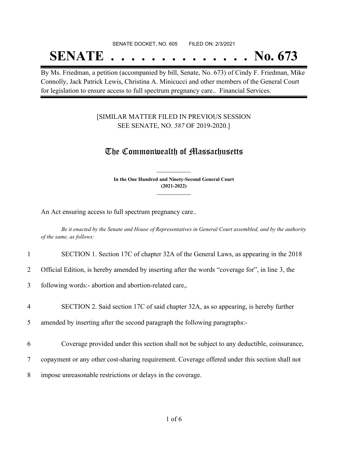## SENATE DOCKET, NO. 605 FILED ON: 2/3/2021 **SENATE . . . . . . . . . . . . . . No. 673**

By Ms. Friedman, a petition (accompanied by bill, Senate, No. 673) of Cindy F. Friedman, Mike Connolly, Jack Patrick Lewis, Christina A. Minicucci and other members of the General Court for legislation to ensure access to full spectrum pregnancy care.. Financial Services.

### [SIMILAR MATTER FILED IN PREVIOUS SESSION SEE SENATE, NO. *587* OF 2019-2020.]

### The Commonwealth of Massachusetts

**In the One Hundred and Ninety-Second General Court (2021-2022) \_\_\_\_\_\_\_\_\_\_\_\_\_\_\_**

**\_\_\_\_\_\_\_\_\_\_\_\_\_\_\_**

An Act ensuring access to full spectrum pregnancy care..

Be it enacted by the Senate and House of Representatives in General Court assembled, and by the authority *of the same, as follows:*

### 1 SECTION 1. Section 17C of chapter 32A of the General Laws, as appearing in the 2018

2 Official Edition, is hereby amended by inserting after the words "coverage for", in line 3, the

3 following words:- abortion and abortion-related care,.

4 SECTION 2. Said section 17C of said chapter 32A, as so appearing, is hereby further

5 amended by inserting after the second paragraph the following paragraphs:-

- 6 Coverage provided under this section shall not be subject to any deductible, coinsurance,
- 7 copayment or any other cost-sharing requirement. Coverage offered under this section shall not
- 8 impose unreasonable restrictions or delays in the coverage.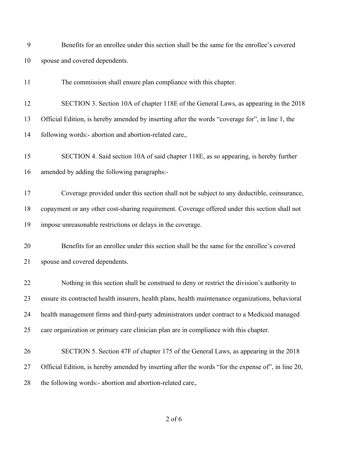| 9  | Benefits for an enrollee under this section shall be the same for the enrollee's covered           |
|----|----------------------------------------------------------------------------------------------------|
| 10 | spouse and covered dependents.                                                                     |
| 11 | The commission shall ensure plan compliance with this chapter.                                     |
| 12 | SECTION 3. Section 10A of chapter 118E of the General Laws, as appearing in the 2018               |
| 13 | Official Edition, is hereby amended by inserting after the words "coverage for", in line 1, the    |
| 14 | following words:- abortion and abortion-related care,.                                             |
| 15 | SECTION 4. Said section 10A of said chapter 118E, as so appearing, is hereby further               |
| 16 | amended by adding the following paragraphs:-                                                       |
| 17 | Coverage provided under this section shall not be subject to any deductible, coinsurance,          |
| 18 | copayment or any other cost-sharing requirement. Coverage offered under this section shall not     |
| 19 | impose unreasonable restrictions or delays in the coverage.                                        |
| 20 | Benefits for an enrollee under this section shall be the same for the enrollee's covered           |
| 21 | spouse and covered dependents.                                                                     |
| 22 | Nothing in this section shall be construed to deny or restrict the division's authority to         |
| 23 | ensure its contracted health insurers, health plans, health maintenance organizations, behavioral  |
| 24 | health management firms and third-party administrators under contract to a Medicaid managed        |
| 25 | care organization or primary care clinician plan are in compliance with this chapter.              |
| 26 | SECTION 5. Section 47F of chapter 175 of the General Laws, as appearing in the 2018                |
| 27 | Official Edition, is hereby amended by inserting after the words "for the expense of", in line 20, |
| 28 | the following words:- abortion and abortion-related care,.                                         |

### of 6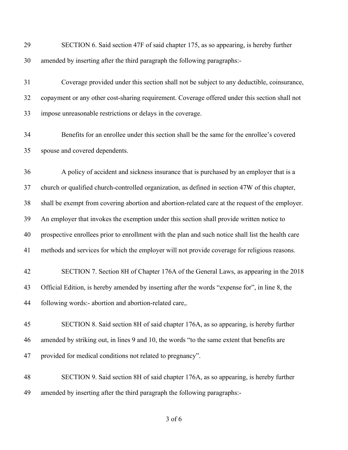| 29 | SECTION 6. Said section 47F of said chapter 175, as so appearing, is hereby further                |
|----|----------------------------------------------------------------------------------------------------|
| 30 | amended by inserting after the third paragraph the following paragraphs:-                          |
| 31 | Coverage provided under this section shall not be subject to any deductible, coinsurance,          |
| 32 | copayment or any other cost-sharing requirement. Coverage offered under this section shall not     |
| 33 | impose unreasonable restrictions or delays in the coverage.                                        |
| 34 | Benefits for an enrollee under this section shall be the same for the enrollee's covered           |
| 35 | spouse and covered dependents.                                                                     |
| 36 | A policy of accident and sickness insurance that is purchased by an employer that is a             |
| 37 | church or qualified church-controlled organization, as defined in section 47W of this chapter,     |
| 38 | shall be exempt from covering abortion and abortion-related care at the request of the employer.   |
| 39 | An employer that invokes the exemption under this section shall provide written notice to          |
| 40 | prospective enrollees prior to enrollment with the plan and such notice shall list the health care |
| 41 | methods and services for which the employer will not provide coverage for religious reasons.       |
| 42 | SECTION 7. Section 8H of Chapter 176A of the General Laws, as appearing in the 2018                |
| 43 | Official Edition, is hereby amended by inserting after the words "expense for", in line 8, the     |
| 44 | following words:- abortion and abortion-related care,.                                             |
| 45 | SECTION 8. Said section 8H of said chapter 176A, as so appearing, is hereby further                |
| 46 | amended by striking out, in lines 9 and 10, the words "to the same extent that benefits are        |
| 47 | provided for medical conditions not related to pregnancy".                                         |
| 48 | SECTION 9. Said section 8H of said chapter 176A, as so appearing, is hereby further                |
| 49 | amended by inserting after the third paragraph the following paragraphs:-                          |

of 6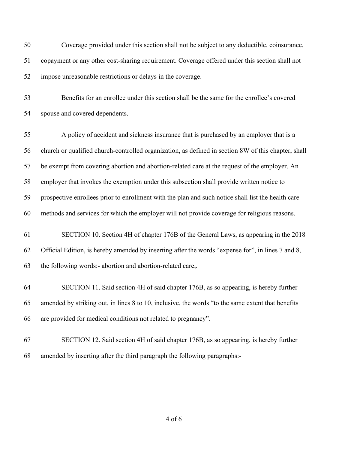Coverage provided under this section shall not be subject to any deductible, coinsurance, copayment or any other cost-sharing requirement. Coverage offered under this section shall not impose unreasonable restrictions or delays in the coverage.

 Benefits for an enrollee under this section shall be the same for the enrollee's covered spouse and covered dependents.

 A policy of accident and sickness insurance that is purchased by an employer that is a church or qualified church-controlled organization, as defined in section 8W of this chapter, shall be exempt from covering abortion and abortion-related care at the request of the employer. An employer that invokes the exemption under this subsection shall provide written notice to prospective enrollees prior to enrollment with the plan and such notice shall list the health care methods and services for which the employer will not provide coverage for religious reasons.

 SECTION 10. Section 4H of chapter 176B of the General Laws, as appearing in the 2018 Official Edition, is hereby amended by inserting after the words "expense for", in lines 7 and 8, the following words:- abortion and abortion-related care,.

 SECTION 11. Said section 4H of said chapter 176B, as so appearing, is hereby further amended by striking out, in lines 8 to 10, inclusive, the words "to the same extent that benefits are provided for medical conditions not related to pregnancy".

 SECTION 12. Said section 4H of said chapter 176B, as so appearing, is hereby further amended by inserting after the third paragraph the following paragraphs:-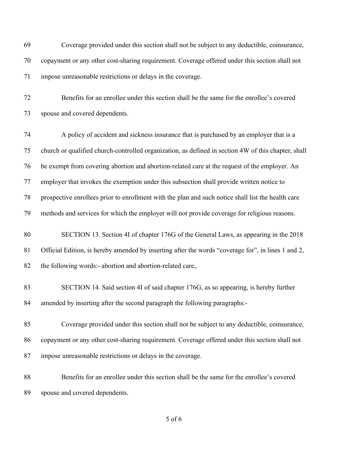Coverage provided under this section shall not be subject to any deductible, coinsurance, copayment or any other cost-sharing requirement. Coverage offered under this section shall not impose unreasonable restrictions or delays in the coverage.

 Benefits for an enrollee under this section shall be the same for the enrollee's covered spouse and covered dependents.

 A policy of accident and sickness insurance that is purchased by an employer that is a church or qualified church-controlled organization, as defined in section 4W of this chapter, shall be exempt from covering abortion and abortion-related care at the request of the employer. An employer that invokes the exemption under this subsection shall provide written notice to prospective enrollees prior to enrollment with the plan and such notice shall list the health care methods and services for which the employer will not provide coverage for religious reasons.

- SECTION 13. Section 4I of chapter 176G of the General Laws, as appearing in the 2018 Official Edition, is hereby amended by inserting after the words "coverage for", in lines 1 and 2, the following words:- abortion and abortion-related care,.
- SECTION 14. Said section 4I of said chapter 176G, as so appearing, is hereby further amended by inserting after the second paragraph the following paragraphs:-
- Coverage provided under this section shall not be subject to any deductible, coinsurance, copayment or any other cost-sharing requirement. Coverage offered under this section shall not impose unreasonable restrictions or delays in the coverage.
- Benefits for an enrollee under this section shall be the same for the enrollee's covered spouse and covered dependents.

of 6